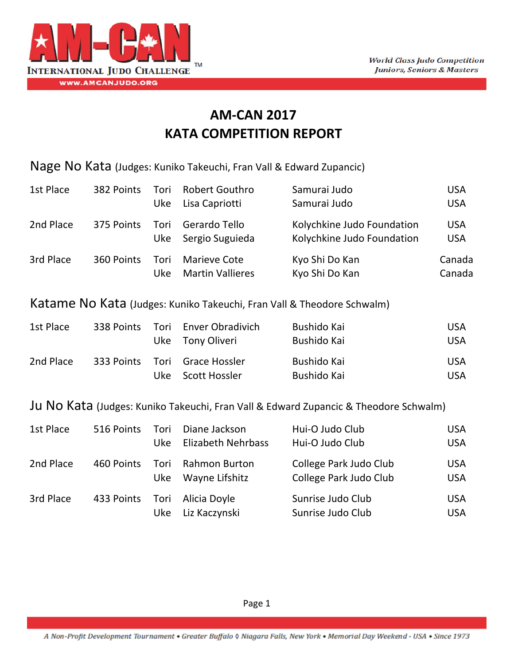

## **AM‐CAN 2017 KATA COMPETITION REPORT**

Nage No Kata (Judges: Kuniko Takeuchi, Fran Vall & Edward Zupancic)

| 1st Place | 382 Points | Tori<br>Uke | <b>Robert Gouthro</b><br>Lisa Capriotti        | Samurai Judo<br>Samurai Judo                             | <b>USA</b><br><b>USA</b> |
|-----------|------------|-------------|------------------------------------------------|----------------------------------------------------------|--------------------------|
| 2nd Place | 375 Points |             | Tori Gerardo Tello<br>Uke Sergio Suguieda      | Kolychkine Judo Foundation<br>Kolychkine Judo Foundation | <b>USA</b><br><b>USA</b> |
| 3rd Place | 360 Points | Tori<br>Uke | <b>Marieve Cote</b><br><b>Martin Vallieres</b> | Kyo Shi Do Kan<br>Kyo Shi Do Kan                         | Canada<br>Canada         |

Katame No Kata (Judges: Kuniko Takeuchi, Fran Vall & Theodore Schwalm)

| 1st Place |  | 338 Points Tori Enver Obradivich<br>Uke Tony Oliveri | Bushido Kai<br>Bushido Kai | <b>USA</b><br>USA.       |
|-----------|--|------------------------------------------------------|----------------------------|--------------------------|
| 2nd Place |  | 333 Points Tori Grace Hossler<br>Uke Scott Hossler   | Bushido Kai<br>Bushido Kai | <b>USA</b><br><b>USA</b> |

Ju No Kata (Judges: Kuniko Takeuchi, Fran Vall & Edward Zupancic & Theodore Schwalm)

| 1st Place | 516 Points                   | Tori<br>Uke | Diane Jackson<br>Elizabeth Nehrbass  | Hui-O Judo Club<br>Hui-O Judo Club               | <b>USA</b><br><b>USA</b> |
|-----------|------------------------------|-------------|--------------------------------------|--------------------------------------------------|--------------------------|
| 2nd Place | 460 Points                   | Uke         | Tori Rahmon Burton<br>Wayne Lifshitz | College Park Judo Club<br>College Park Judo Club | <b>USA</b><br><b>USA</b> |
| 3rd Place | 433 Points Tori Alicia Doyle | <b>Uke</b>  | Liz Kaczynski                        | Sunrise Judo Club<br>Sunrise Judo Club           | <b>USA</b><br><b>USA</b> |